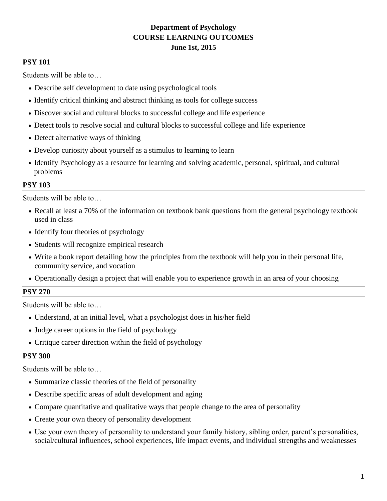# **Department of Psychology COURSE LEARNING OUTCOMES June 1st, 2015**

# **PSY 101**

Students will be able to…

- Describe self development to date using psychological tools
- Identify critical thinking and abstract thinking as tools for college success
- Discover social and cultural blocks to successful college and life experience
- Detect tools to resolve social and cultural blocks to successful college and life experience
- Detect alternative ways of thinking
- Develop curiosity about yourself as a stimulus to learning to learn
- Identify Psychology as a resource for learning and solving academic, personal, spiritual, and cultural problems

# **PSY 103**

Students will be able to…

- Recall at least a 70% of the information on textbook bank questions from the general psychology textbook used in class
- Identify four theories of psychology
- Students will recognize empirical research
- Write a book report detailing how the principles from the textbook will help you in their personal life, community service, and vocation
- Operationally design a project that will enable you to experience growth in an area of your choosing

# **PSY 270**

Students will be able to…

- Understand, at an initial level, what a psychologist does in his/her field
- Judge career options in the field of psychology
- Critique career direction within the field of psychology

## **PSY 300**

- Summarize classic theories of the field of personality
- Describe specific areas of adult development and aging
- Compare quantitative and qualitative ways that people change to the area of personality
- Create your own theory of personality development
- Use your own theory of personality to understand your family history, sibling order, parent's personalities, social/cultural influences, school experiences, life impact events, and individual strengths and weaknesses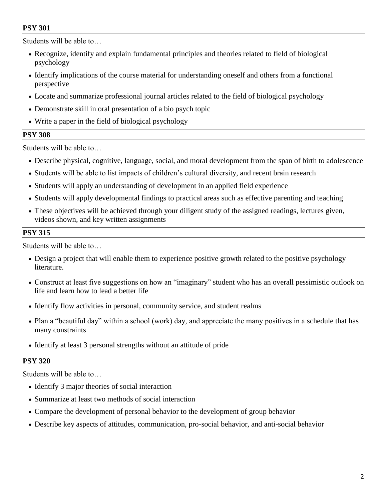Students will be able to…

- Recognize, identify and explain fundamental principles and theories related to field of biological psychology
- Identify implications of the course material for understanding oneself and others from a functional perspective
- Locate and summarize professional journal articles related to the field of biological psychology
- Demonstrate skill in oral presentation of a bio psych topic
- Write a paper in the field of biological psychology

# **PSY 308**

Students will be able to…

- Describe physical, cognitive, language, social, and moral development from the span of birth to adolescence
- Students will be able to list impacts of children's cultural diversity, and recent brain research
- Students will apply an understanding of development in an applied field experience
- Students will apply developmental findings to practical areas such as effective parenting and teaching
- These objectives will be achieved through your diligent study of the assigned readings, lectures given, videos shown, and key written assignments

# **PSY 315**

Students will be able to…

- Design a project that will enable them to experience positive growth related to the positive psychology literature.
- Construct at least five suggestions on how an "imaginary" student who has an overall pessimistic outlook on life and learn how to lead a better life
- Identify flow activities in personal, community service, and student realms
- Plan a "beautiful day" within a school (work) day, and appreciate the many positives in a schedule that has many constraints
- Identify at least 3 personal strengths without an attitude of pride

## **PSY 320**

- Identify 3 major theories of social interaction
- Summarize at least two methods of social interaction
- Compare the development of personal behavior to the development of group behavior
- Describe key aspects of attitudes, communication, pro-social behavior, and anti-social behavior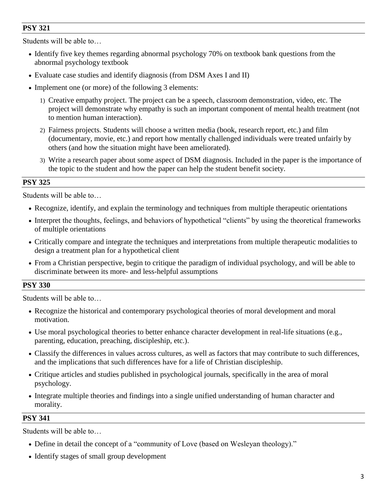Students will be able to…

- Identify five key themes regarding abnormal psychology 70% on textbook bank questions from the abnormal psychology textbook
- Evaluate case studies and identify diagnosis (from DSM Axes I and II)
- Implement one (or more) of the following 3 elements:
	- 1) Creative empathy project. The project can be a speech, classroom demonstration, video, etc. The project will demonstrate why empathy is such an important component of mental health treatment (not to mention human interaction).
	- 2) Fairness projects. Students will choose a written media (book, research report, etc.) and film (documentary, movie, etc.) and report how mentally challenged individuals were treated unfairly by others (and how the situation might have been ameliorated).
	- 3) Write a research paper about some aspect of DSM diagnosis. Included in the paper is the importance of the topic to the student and how the paper can help the student benefit society.

## **PSY 325**

Students will be able to…

- Recognize, identify, and explain the terminology and techniques from multiple therapeutic orientations
- Interpret the thoughts, feelings, and behaviors of hypothetical "clients" by using the theoretical frameworks of multiple orientations
- Critically compare and integrate the techniques and interpretations from multiple therapeutic modalities to design a treatment plan for a hypothetical client
- From a Christian perspective, begin to critique the paradigm of individual psychology, and will be able to discriminate between its more- and less-helpful assumptions

## **PSY 330**

Students will be able to…

- Recognize the historical and contemporary psychological theories of moral development and moral motivation.
- Use moral psychological theories to better enhance character development in real-life situations (e.g., parenting, education, preaching, discipleship, etc.).
- Classify the differences in values across cultures, as well as factors that may contribute to such differences, and the implications that such differences have for a life of Christian discipleship.
- Critique articles and studies published in psychological journals, specifically in the area of moral psychology.
- Integrate multiple theories and findings into a single unified understanding of human character and morality.

## **PSY 341**

- Define in detail the concept of a "community of Love (based on Wesleyan theology)."
- Identify stages of small group development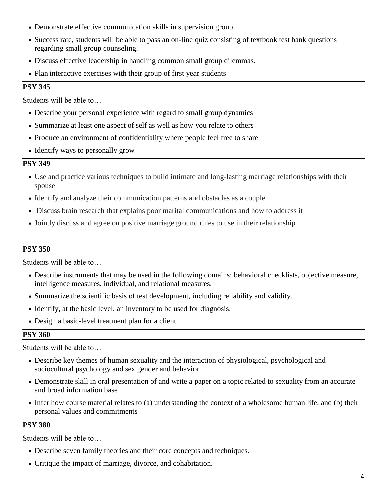- Demonstrate effective communication skills in supervision group
- Success rate, students will be able to pass an on-line quiz consisting of textbook test bank questions regarding small group counseling.
- Discuss effective leadership in handling common small group dilemmas.
- Plan interactive exercises with their group of first year students

Students will be able to…

- Describe your personal experience with regard to small group dynamics
- Summarize at least one aspect of self as well as how you relate to others
- Produce an environment of confidentiality where people feel free to share
- Identify ways to personally grow

#### **PSY 349**

- Use and practice various techniques to build intimate and long-lasting marriage relationships with their spouse
- Identify and analyze their communication patterns and obstacles as a couple
- Discuss brain research that explains poor marital communications and how to address it
- Jointly discuss and agree on positive marriage ground rules to use in their relationship

## **PSY 350**

Students will be able to…

- Describe instruments that may be used in the following domains: behavioral checklists, objective measure, intelligence measures, individual, and relational measures.
- Summarize the scientific basis of test development, including reliability and validity.
- Identify, at the basic level, an inventory to be used for diagnosis.
- Design a basic-level treatment plan for a client.

## **PSY 360**

Students will be able to…

- Describe key themes of human sexuality and the interaction of physiological, psychological and sociocultural psychology and sex gender and behavior
- Demonstrate skill in oral presentation of and write a paper on a topic related to sexuality from an accurate and broad information base
- Infer how course material relates to (a) understanding the context of a wholesome human life, and (b) their personal values and commitments

#### **PSY 380**

- Describe seven family theories and their core concepts and techniques.
- Critique the impact of marriage, divorce, and cohabitation.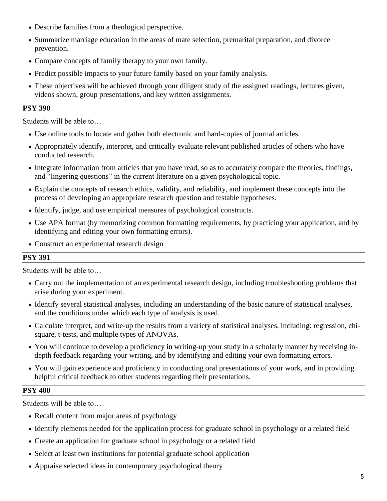- Describe families from a theological perspective.
- Summarize marriage education in the areas of mate selection, premarital preparation, and divorce prevention.
- Compare concepts of family therapy to your own family.
- Predict possible impacts to your future family based on your family analysis.
- These objectives will be achieved through your diligent study of the assigned readings, lectures given, videos shown, group presentations, and key written assignments.

Students will be able to…

- Use online tools to locate and gather both electronic and hard-copies of journal articles.
- Appropriately identify, interpret, and critically evaluate relevant published articles of others who have conducted research.
- Integrate information from articles that you have read, so as to accurately compare the theories, findings, and "lingering questions" in the current literature on a given psychological topic.
- Explain the concepts of research ethics, validity, and reliability, and implement these concepts into the process of developing an appropriate research question and testable hypotheses.
- Identify, judge, and use empirical measures of psychological constructs.
- Use APA format (by memorizing common formatting requirements, by practicing your application, and by identifying and editing your own formatting errors).
- Construct an experimental research design

# **PSY 391**

Students will be able to…

- Carry out the implementation of an experimental research design, including troubleshooting problems that arise during your experiment.
- Identify several statistical analyses, including an understanding of the basic nature of statistical analyses, and the conditions under which each type of analysis is used.
- Calculate interpret, and write-up the results from a variety of statistical analyses, including: regression, chisquare, t-tests, and multiple types of ANOVAs.
- You will continue to develop a proficiency in writing-up your study in a scholarly manner by receiving indepth feedback regarding your writing, and by identifying and editing your own formatting errors.
- You will gain experience and proficiency in conducting oral presentations of your work, and in providing helpful critical feedback to other students regarding their presentations.

# **PSY 400**

- Recall content from major areas of psychology
- Identify elements needed for the application process for graduate school in psychology or a related field
- Create an application for graduate school in psychology or a related field
- Select at least two institutions for potential graduate school application
- Appraise selected ideas in contemporary psychological theory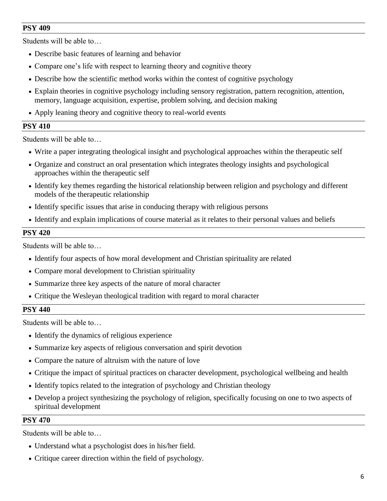Students will be able to…

- Describe basic features of learning and behavior
- Compare one's life with respect to learning theory and cognitive theory
- Describe how the scientific method works within the contest of cognitive psychology
- Explain theories in cognitive psychology including sensory registration, pattern recognition, attention, memory, language acquisition, expertise, problem solving, and decision making
- Apply leaning theory and cognitive theory to real-world events

## **PSY 410**

Students will be able to…

- Write a paper integrating theological insight and psychological approaches within the therapeutic self
- Organize and construct an oral presentation which integrates theology insights and psychological approaches within the therapeutic self
- Identify key themes regarding the historical relationship between religion and psychology and different models of the therapeutic relationship
- Identify specific issues that arise in conducing therapy with religious persons
- Identify and explain implications of course material as it relates to their personal values and beliefs

## **PSY 420**

Students will be able to…

- Identify four aspects of how moral development and Christian spirituality are related
- Compare moral development to Christian spirituality
- Summarize three key aspects of the nature of moral character
- Critique the Wesleyan theological tradition with regard to moral character

## **PSY 440**

Students will be able to…

- Identify the dynamics of religious experience
- Summarize key aspects of religious conversation and spirit devotion
- Compare the nature of altruism with the nature of love
- Critique the impact of spiritual practices on character development, psychological wellbeing and health
- Identify topics related to the integration of psychology and Christian theology
- Develop a project synthesizing the psychology of religion, specifically focusing on one to two aspects of spiritual development

## **PSY 470**

- Understand what a psychologist does in his/her field.
- Critique career direction within the field of psychology.